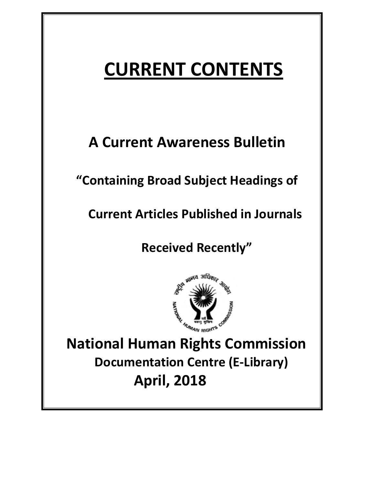# **CURRENT CONTENTS**

## **A Current Awareness Bulletin**

## **"Containing Broad Subject Headings of**

 **Current Articles Published in Journals** 

 **Received Recently"** 



 **National Human Rights Commission Documentation Centre (E-Library) April, 2018**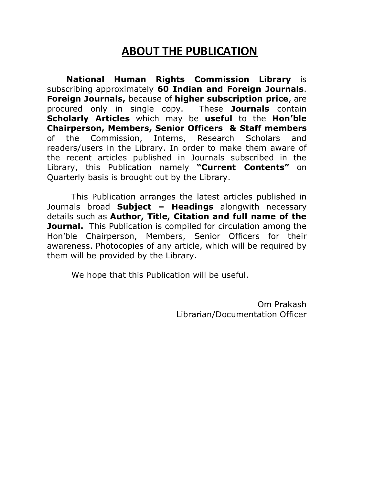## **ABOUT THE PUBLICATION**

 **National Human Rights Commission Library** is subscribing approximately **60 Indian and Foreign Journals**. **Foreign Journals,** because of **higher subscription price**, are procured only in single copy. These **Journals** contain **Scholarly Articles** which may be **useful** to the **Hon'ble Chairperson, Members, Senior Officers & Staff members** of the Commission, Interns, Research Scholars and readers/users in the Library. In order to make them aware of the recent articles published in Journals subscribed in the Library, this Publication namely **"Current Contents"** on Quarterly basis is brought out by the Library.

 This Publication arranges the latest articles published in Journals broad **Subject – Headings** alongwith necessary details such as **Author, Title, Citation and full name of the Journal.** This Publication is compiled for circulation among the Hon'ble Chairperson, Members, Senior Officers for their awareness. Photocopies of any article, which will be required by them will be provided by the Library.

We hope that this Publication will be useful.

Om Prakash Librarian/Documentation Officer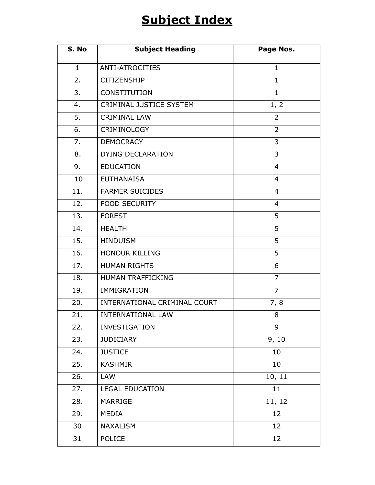## **Subject Index**

| S. No        | <b>Subject Heading</b>       | Page Nos.      |
|--------------|------------------------------|----------------|
| $\mathbf{1}$ | <b>ANTI-ATROCITIES</b>       | $\mathbf{1}$   |
| 2.           | <b>CITIZENSHIP</b>           | $\mathbf{1}$   |
| 3.           | CONSTITUTION                 | $\mathbf{1}$   |
| 4.           | CRIMINAL JUSTICE SYSTEM      | 1, 2           |
| 5.           | <b>CRIMINAL LAW</b>          | $\overline{2}$ |
| 6.           | CRIMINOLOGY                  | $\overline{2}$ |
| 7.           | <b>DEMOCRACY</b>             | 3              |
| 8.           | DYING DECLARATION            | 3              |
| 9.           | <b>EDUCATION</b>             | $\overline{4}$ |
| 10           | <b>EUTHANAISA</b>            | 4              |
| 11.          | <b>FARMER SUICIDES</b>       | $\overline{4}$ |
| 12.          | <b>FOOD SECURITY</b>         | $\overline{4}$ |
| 13.          | <b>FOREST</b>                | 5              |
| 14.          | <b>HEALTH</b>                | 5              |
| 15.          | <b>HINDUISM</b>              | 5              |
| 16.          | <b>HONOUR KILLING</b>        | 5              |
| 17.          | <b>HUMAN RIGHTS</b>          | 6              |
| 18.          | HUMAN TRAFFICKING            | $\overline{7}$ |
| 19.          | <b>IMMIGRATION</b>           | $\overline{7}$ |
| 20.          | INTERNATIONAL CRIMINAL COURT | 7, 8           |
| 21.          | <b>INTERNATIONAL LAW</b>     | 8              |
| 22.          | <b>INVESTIGATION</b>         | 9              |
| 23.          | <b>JUDICIARY</b>             | 9, 10          |
| 24.          | <b>JUSTICE</b>               | 10             |
| 25.          | <b>KASHMIR</b>               | 10             |
| 26.          | LAW                          | 10, 11         |
| 27.          | <b>LEGAL EDUCATION</b>       | 11             |
| 28.          | <b>MARRIGE</b>               | 11, 12         |
| 29.          | MEDIA                        | 12             |
| 30           | <b>NAXALISM</b>              | 12             |
| 31           | <b>POLICE</b>                | 12             |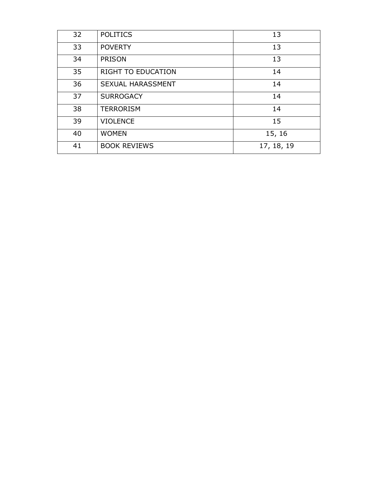| 32 | <b>POLITICS</b>           | 13         |
|----|---------------------------|------------|
| 33 | <b>POVERTY</b>            | 13         |
| 34 | <b>PRISON</b>             | 13         |
| 35 | <b>RIGHT TO EDUCATION</b> | 14         |
| 36 | SEXUAL HARASSMENT         | 14         |
| 37 | <b>SURROGACY</b>          | 14         |
| 38 | <b>TERRORISM</b>          | 14         |
| 39 | <b>VIOLENCE</b>           | 15         |
| 40 | <b>WOMEN</b>              | 15, 16     |
| 41 | <b>BOOK REVIEWS</b>       | 17, 18, 19 |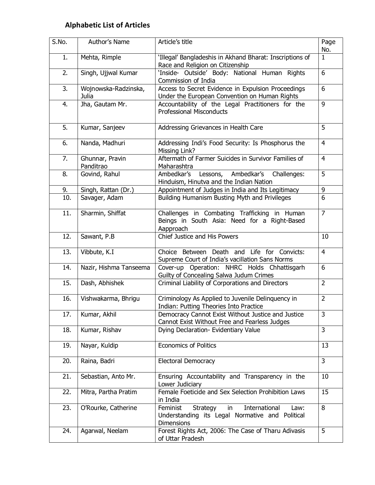### **Alphabetic List of Articles**

| S.No. | Author's Name                 | Article's title                                                                                                             | Page<br>No.    |
|-------|-------------------------------|-----------------------------------------------------------------------------------------------------------------------------|----------------|
| 1.    | Mehta, Rimple                 | 'Illegal' Bangladeshis in Akhand Bharat: Inscriptions of<br>Race and Religion on Citizenship                                | $\mathbf{1}$   |
| 2.    | Singh, Ujjwal Kumar           | 'Inside- Outside' Body: National Human Rights<br>Commission of India                                                        | 6              |
| 3.    | Wojnowska-Radzinska,<br>Julia | Access to Secret Evidence in Expulsion Proceedings<br>Under the European Convention on Human Rights                         | 6              |
| 4.    | Jha, Gautam Mr.               | Accountability of the Legal Practitioners for the<br><b>Professional Misconducts</b>                                        | 9              |
| 5.    | Kumar, Sanjeev                | Addressing Grievances in Health Care                                                                                        | 5              |
| 6.    | Nanda, Madhuri                | Addressing Indi's Food Security: Is Phosphorus the<br>Missing Link?                                                         | $\overline{4}$ |
| 7.    | Ghunnar, Pravin<br>Panditrao  | Aftermath of Farmer Suicides in Survivor Families of<br>Maharashtra                                                         | $\overline{4}$ |
| 8.    | Govind, Rahul                 | Ambedkar's<br>Ambedkar's<br>Lessons,<br>Challenges:<br>Hinduism, Hinutva and the Indian Nation                              | 5              |
| 9.    | Singh, Rattan (Dr.)           | Appointment of Judges in India and Its Legitimacy                                                                           | 9              |
| 10.   | Savager, Adam                 | Building Humanism Busting Myth and Privileges                                                                               | 6              |
| 11.   | Sharmin, Shiffat              | Challenges in Combating Trafficking in Human<br>Beings in South Asia: Need for a Right-Based<br>Aapproach                   | $\overline{7}$ |
| 12.   | Sawant, P.B                   | Chief Justice and His Powers                                                                                                | 10             |
| 13.   | Vibbute, K.I                  | Choice Between Death and Life for Convicts:<br>Supreme Court of India's vacillation Sans Norms                              | $\overline{4}$ |
| 14.   | Nazir, Hishma Tanseema        | Cover-up Operation: NHRC Holds Chhattisgarh<br>Guilty of Concealing Salwa Judum Crimes                                      | 6              |
| 15.   | Dash, Abhishek                | Criminal Liability of Corporations and Directors                                                                            | $\overline{2}$ |
| 16.   | Vishwakarma, Bhrigu           | Criminology As Applied to Juvenile Delinquency in<br>Indian: Putting Theories Into Practice                                 | $\overline{2}$ |
| 17.   | Kumar, Akhil                  | Democracy Cannot Exist Without Justice and Justice<br>Cannot Exist Without Free and Fearless Judges                         | 3              |
| 18.   | Kumar, Rishav                 | Dying Declaration- Evidentiary Value                                                                                        | $\overline{3}$ |
| 19.   | Nayar, Kuldip                 | <b>Economics of Politics</b>                                                                                                | 13             |
| 20.   | Raina, Badri                  | <b>Electoral Democracy</b>                                                                                                  | 3              |
| 21.   | Sebastian, Anto Mr.           | Ensuring Accountability and Transparency in the<br>Lower Judiciary                                                          | 10             |
| 22.   | Mitra, Partha Pratim          | Female Foeticide and Sex Selection Prohibition Laws<br>in India                                                             | 15             |
| 23.   | O'Rourke, Catherine           | International<br>Feminist<br>Strategy<br>Law:<br>in<br>Understanding its Legal Normative and Political<br><b>Dimensions</b> | 8              |
| 24.   | Agarwal, Neelam               | Forest Rights Act, 2006: The Case of Tharu Adivasis<br>of Uttar Pradesh                                                     | 5              |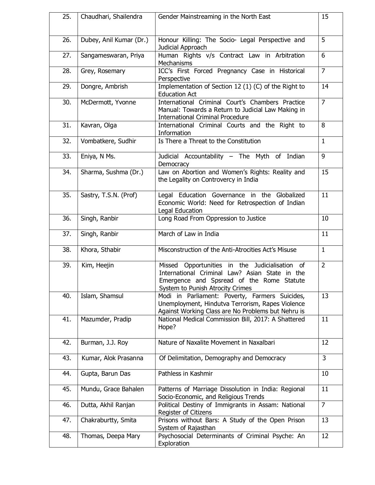| 25. | Chaudhari, Shailendra   | Gender Mainstreaming in the North East                                                                                                                                            | 15             |
|-----|-------------------------|-----------------------------------------------------------------------------------------------------------------------------------------------------------------------------------|----------------|
| 26. | Dubey, Anil Kumar (Dr.) | Honour Killing: The Socio- Legal Perspective and<br>Judicial Approach                                                                                                             | 5              |
| 27. | Sangameswaran, Priya    | Human Rights v/s Contract Law in Arbitration<br>Mechanisms                                                                                                                        | 6              |
| 28. | Grey, Rosemary          | ICC's First Forced Pregnancy Case in Historical<br>Perspective                                                                                                                    | $\overline{7}$ |
| 29. | Dongre, Ambrish         | Implementation of Section 12 (1) (C) of the Right to<br><b>Education Act</b>                                                                                                      | 14             |
| 30. | McDermott, Yvonne       | International Criminal Court's Chambers Practice<br>Manual: Towards a Return to Judicial Law Making in<br><b>International Criminal Procedure</b>                                 | $\overline{7}$ |
| 31. | Kavran, Olga            | International Criminal Courts and the Right to<br>Information                                                                                                                     | 8              |
| 32. | Vombatkere, Sudhir      | Is There a Threat to the Constitution                                                                                                                                             | $\mathbf{1}$   |
| 33. | Eniya, N Ms.            | Judicial Accountability - The Myth of Indian<br>Democracy                                                                                                                         | 9              |
| 34. | Sharma, Sushma (Dr.)    | Law on Abortion and Women's Rights: Reality and<br>the Legality on Controvercy in India                                                                                           | 15             |
| 35. | Sastry, T.S.N. (Prof)   | Legal Education Governance in the Globalized<br>Economic World: Need for Retrospection of Indian<br>Legal Education                                                               | 11             |
| 36. | Singh, Ranbir           | Long Road From Oppression to Justice                                                                                                                                              | 10             |
| 37. | Singh, Ranbir           | March of Law in India                                                                                                                                                             | 11             |
| 38. | Khora, Sthabir          | Misconstruction of the Anti-Atrocities Act's Misuse                                                                                                                               | $\mathbf{1}$   |
| 39. | Kim, Heejin             | Missed Opportunities in the Judicialisation of<br>International Criminal Law? Asian State in the<br>Emergence and Spsread of the Rome Statute<br>System to Punish Atrocity Crimes | $\overline{2}$ |
| 40. | Islam, Shamsul          | Modi in Parliament: Poverty, Farmers Suicides,<br>Unemployment, Hindutva Terrorism, Rapes Violence<br>Against Working Class are No Problems but Nehru is                          | 13             |
| 41. | Mazumder, Pradip        | National Medical Commission Bill, 2017: A Shattered<br>Hope?                                                                                                                      | 11             |
| 42. | Burman, J.J. Roy        | Nature of Naxalite Movement in Naxalbari                                                                                                                                          | 12             |
| 43. | Kumar, Alok Prasanna    | Of Delimitation, Demography and Democracy                                                                                                                                         | 3              |
| 44. | Gupta, Barun Das        | Pathless in Kashmir                                                                                                                                                               | 10             |
| 45. | Mundu, Grace Bahalen    | Patterns of Marriage Dissolution in India: Regional<br>Socio-Economic, and Religious Trends                                                                                       | 11             |
| 46. | Dutta, Akhil Ranjan     | Political Destiny of Immigrants in Assam: National<br>Register of Citizens                                                                                                        | $\overline{7}$ |
| 47. | Chakraburtty, Smita     | Prisons without Bars: A Study of the Open Prison<br>System of Rajasthan                                                                                                           | 13             |
| 48. | Thomas, Deepa Mary      | Psychosocial Determinants of Criminal Psyche: An<br>Exploration                                                                                                                   | 12             |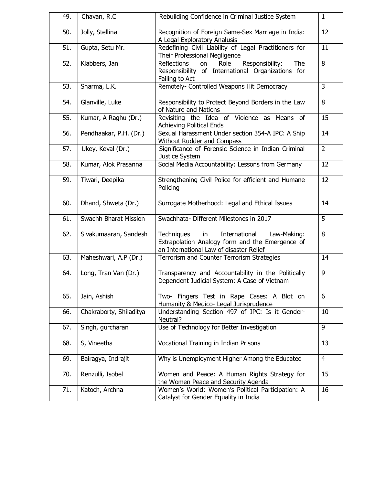| 49. | Chavan, R.C             | Rebuilding Confidence in Criminal Justice System                                                                                               | $\mathbf{1}$   |
|-----|-------------------------|------------------------------------------------------------------------------------------------------------------------------------------------|----------------|
| 50. | Jolly, Stellina         | Recognition of Foreign Same-Sex Marriage in India:<br>A Legal Exploratory Analusis                                                             | 12             |
| 51. | Gupta, Setu Mr.         | Redefining Civil Liability of Legal Practitioners for<br>Their Professional Negligence                                                         | 11             |
| 52. | Klabbers, Jan           | Responsibility:<br>The<br>Reflections<br>Role<br>on<br>Responsibility of International Organizations for<br>Failing to Act                     | 8              |
| 53. | Sharma, L.K.            | Remotely- Controlled Weapons Hit Democracy                                                                                                     | 3              |
| 54. | Glanville, Luke         | Responsibility to Protect Beyond Borders in the Law<br>of Nature and Nations                                                                   | 8              |
| 55. | Kumar, A Raghu (Dr.)    | Revisiting the Idea of Violence as Means of<br><b>Achieving Political Ends</b>                                                                 | 15             |
| 56. | Pendhaakar, P.H. (Dr.)  | Sexual Harassment Under section 354-A IPC: A Ship<br>Without Rudder and Compass                                                                | 14             |
| 57. | Ukey, Keval (Dr.)       | Significance of Forensic Science in Indian Criminal<br>Justice System                                                                          | $\overline{2}$ |
| 58. | Kumar, Alok Prasanna    | Social Media Accountability: Lessons from Germany                                                                                              | 12             |
| 59. | Tiwari, Deepika         | Strengthening Civil Police for efficient and Humane<br>Policing                                                                                | 12             |
| 60. | Dhand, Shweta (Dr.)     | Surrogate Motherhood: Legal and Ethical Issues                                                                                                 | 14             |
| 61. | Swachh Bharat Mission   | Swachhata- Different Milestones in 2017                                                                                                        | 5              |
| 62. | Sivakumaaran, Sandesh   | International<br>Techniques<br>Law-Making:<br>in<br>Extrapolation Analogy form and the Emergence of<br>an International Law of disaster Relief | 8              |
| 63. | Maheshwari, A.P (Dr.)   | Terrorism and Counter Terrorism Strategies                                                                                                     | 14             |
| 64. | Long, Tran Van (Dr.)    | Transparency and Accountability in the Politically<br>Dependent Judicial System: A Case of Vietnam                                             | 9              |
| 65. | Jain, Ashish            | Fingers Test in Rape Cases: A Blot on<br>Two-<br>Humanity & Medico- Legal Jurisprudence                                                        | 6              |
| 66. | Chakraborty, Shiladitya | Understanding Section 497 of IPC: Is it Gender-<br>Neutral?                                                                                    | 10             |
| 67. | Singh, gurcharan        | Use of Technology for Better Investigation                                                                                                     | 9              |
| 68. | S, Vineetha             | Vocational Training in Indian Prisons                                                                                                          | 13             |
| 69. | Bairagya, Indrajit      | Why is Unemployment Higher Among the Educated                                                                                                  | $\overline{4}$ |
| 70. | Renzulli, Isobel        | Women and Peace: A Human Rights Strategy for<br>the Women Peace and Security Agenda                                                            | 15             |
| 71. | Katoch, Archna          | Women's World: Women's Political Participation: A<br>Catalyst for Gender Equality in India                                                     | 16             |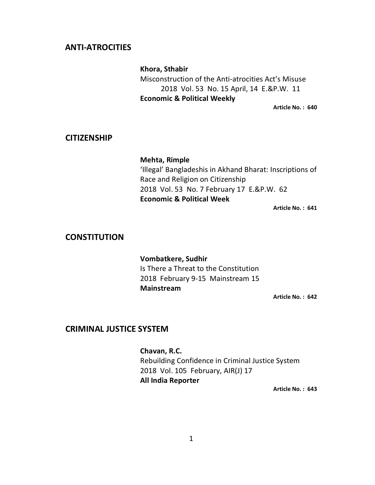#### **ANTI-ATROCITIES**

 **Khora, Sthabir** Misconstruction of the Anti-atrocities Act's Misuse 2018 Vol. 53 No. 15 April, 14 E.&P.W. 11 **Economic & Political Weekly** 

**Article No. : 640** 

#### **CITIZENSHIP**

**Mehta, Rimple**  'Illegal' Bangladeshis in Akhand Bharat: Inscriptions of Race and Religion on Citizenship 2018 Vol. 53 No. 7 February 17 E.&P.W. 62 **Economic & Political Week** 

**Article No. : 641** 

#### **CONSTITUTION**

**Vombatkere, Sudhir** Is There a Threat to the Constitution 2018 February 9-15 Mainstream 15  **Mainstream** 

**Article No. : 642** 

#### **CRIMINAL JUSTICE SYSTEM**

 **Chavan, R.C.** Rebuilding Confidence in Criminal Justice System 2018 Vol. 105 February, AIR(J) 17 **All India Reporter**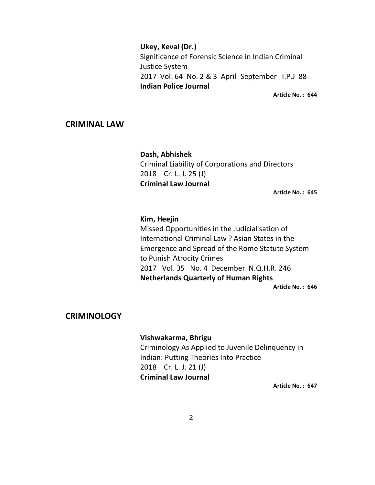**Ukey, Keval (Dr.)**  Significance of Forensic Science in Indian Criminal Justice System 2017 Vol. 64 No. 2 & 3 April- September I.P.J 88 **Indian Police Journal** 

**Article No. : 644** 

#### **CRIMINAL LAW**

**Dash, Abhishek**  Criminal Liability of Corporations and Directors 2018 Cr. L. J. 25 (J) **Criminal Law Journal** 

**Article No. : 645** 

#### **Kim, Heejin**

Missed Opportunities in the Judicialisation of International Criminal Law ? Asian States in the Emergence and Spread of the Rome Statute System to Punish Atrocity Crimes 2017 Vol. 35 No. 4 December N.Q.H.R. 246 **Netherlands Quarterly of Human Rights Article No. : 646** 

#### **CRIMINOLOGY**

#### **Vishwakarma, Bhrigu**

Criminology As Applied to Juvenile Delinquency in Indian: Putting Theories Into Practice 2018 Cr. L. J. 21 (J) **Criminal Law Journal**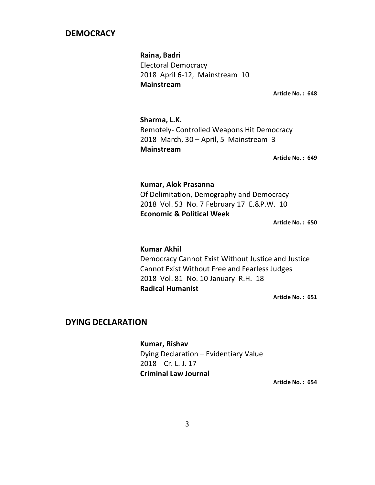#### **DEMOCRACY**

 **Raina, Badri** Electoral Democracy 2018 April 6-12, Mainstream 10  **Mainstream** 

**Article No. : 648** 

 **Sharma, L.K.** Remotely- Controlled Weapons Hit Democracy 2018 March, 30 – April, 5 Mainstream 3  **Mainstream** 

**Article No. : 649** 

#### **Kumar, Alok Prasanna**

Of Delimitation, Demography and Democracy 2018 Vol. 53 No. 7 February 17 E.&P.W. 10 **Economic & Political Week** 

**Article No. : 650** 

#### **Kumar Akhil**

Democracy Cannot Exist Without Justice and Justice Cannot Exist Without Free and Fearless Judges 2018 Vol. 81 No. 10 January R.H. 18 **Radical Humanist** 

**Article No. : 651** 

#### **DYING DECLARATION**

**Kumar, Rishav**  Dying Declaration – Evidentiary Value 2018 Cr. L. J. 17 **Criminal Law Journal**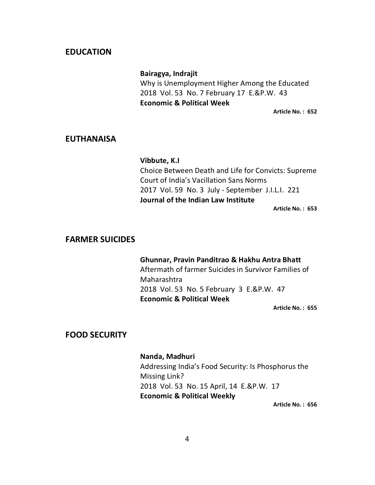#### **EDUCATION**

#### **Bairagya, Indrajit**

Why is Unemployment Higher Among the Educated 2018 Vol. 53 No. 7 February 17 E.&P.W. 43 **Economic & Political Week** 

**Article No. : 652** 

#### **EUTHANAISA**

#### **Vibbute, K.I**

Choice Between Death and Life for Convicts: Supreme Court of India's Vacillation Sans Norms 2017 Vol. 59 No. 3 July - September J.I.L.I. 221 **Journal of the Indian Law Institute** 

**Article No. : 653** 

#### **FARMER SUICIDES**

#### **Ghunnar, Pravin Panditrao & Hakhu Antra Bhatt**

Aftermath of farmer Suicides in Survivor Families of Maharashtra 2018 Vol. 53 No. 5 February 3 E.&P.W. 47 **Economic & Political Week** 

**Article No. : 655** 

#### **FOOD SECURITY**

## **Nanda, Madhuri**

Addressing India's Food Security: Is Phosphorus the Missing Link? 2018 Vol. 53 No. 15 April, 14 E.&P.W. 17 **Economic & Political Weekly**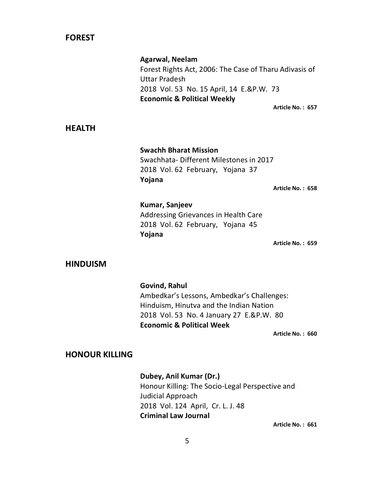#### **FOREST**

 **Agarwal, Neelam**  Forest Rights Act, 2006: The Case of Tharu Adivasis of Uttar Pradesh 2018 Vol. 53 No. 15 April, 14 E.&P.W. 73 **Economic & Political Weekly Article No. : 657** 

**HEALTH** 

**Swachh Bharat Mission** Swachhata- Different Milestones in 2017 2018 Vol. 62 February, Yojana 37 **Yojana** 

**Article No. : 658** 

### **Kumar, Sanjeev** Addressing Grievances in Health Care 2018 Vol. 62 February, Yojana 45 **Yojana**

**Article No. : 659** 

#### **HINDUISM**

**Govind, Rahul**  Ambedkar's Lessons, Ambedkar's Challenges: Hinduism, Hinutva and the Indian Nation 2018 Vol. 53 No. 4 January 27 E.&P.W. 80 **Economic & Political Week** 

**Article No. : 660** 

#### **HONOUR KILLING**

 **Dubey, Anil Kumar (Dr.)**  Honour Killing: The Socio-Legal Perspective and Judicial Approach 2018 Vol. 124 April, Cr. L. J. 48 **Criminal Law Journal**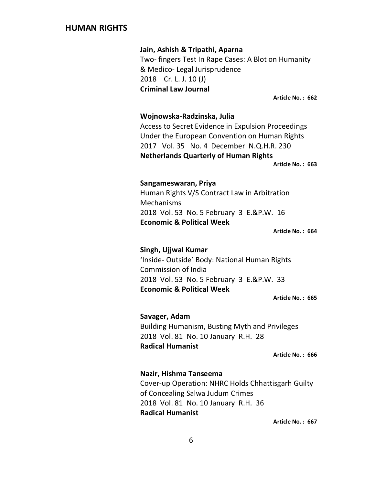#### **HUMAN RIGHTS**

**Jain, Ashish & Tripathi, Aparna**  Two- fingers Test In Rape Cases: A Blot on Humanity & Medico- Legal Jurisprudence 2018 Cr. L. J. 10 (J) **Criminal Law Journal** 

**Article No. : 662** 

#### **Wojnowska-Radzinska, Julia**

Access to Secret Evidence in Expulsion Proceedings Under the European Convention on Human Rights 2017 Vol. 35 No. 4 December N.Q.H.R. 230 **Netherlands Quarterly of Human Rights** 

**Article No. : 663** 

#### **Sangameswaran, Priya**

Human Rights V/S Contract Law in Arbitration Mechanisms 2018 Vol. 53 No. 5 February 3 E.&P.W. 16 **Economic & Political Week** 

**Article No. : 664** 

#### **Singh, Ujjwal Kumar**

'Inside- Outside' Body: National Human Rights Commission of India 2018 Vol. 53 No. 5 February 3 E.&P.W. 33 **Economic & Political Week** 

**Article No. : 665** 

#### **Savager, Adam**

Building Humanism, Busting Myth and Privileges 2018 Vol. 81 No. 10 January R.H. 28 **Radical Humanist** 

**Article No. : 666** 

#### **Nazir, Hishma Tanseema**

Cover-up Operation: NHRC Holds Chhattisgarh Guilty of Concealing Salwa Judum Crimes 2018 Vol. 81 No. 10 January R.H. 36 **Radical Humanist**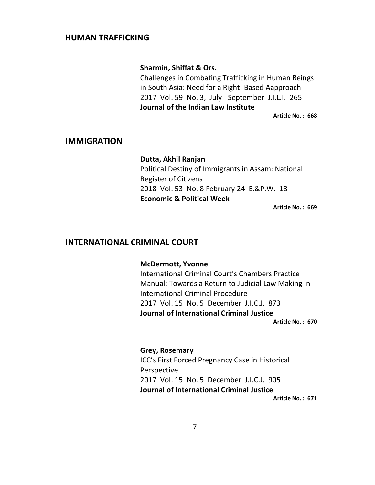#### **HUMAN TRAFFICKING**

#### **Sharmin, Shiffat & Ors.**

Challenges in Combating Trafficking in Human Beings in South Asia: Need for a Right- Based Aapproach 2017 Vol. 59 No. 3, July - September J.I.L.I. 265 **Journal of the Indian Law Institute** 

**Article No. : 668** 

#### **IMMIGRATION**

## **Dutta, Akhil Ranjan**

Political Destiny of Immigrants in Assam: National Register of Citizens 2018 Vol. 53 No. 8 February 24 E.&P.W. 18 **Economic & Political Week** 

**Article No. : 669** 

#### **INTERNATIONAL CRIMINAL COURT**

#### **McDermott, Yvonne**

International Criminal Court's Chambers Practice Manual: Towards a Return to Judicial Law Making in International Criminal Procedure 2017 Vol. 15 No. 5 December J.I.C.J. 873 **Journal of International Criminal Justice** 

**Article No. : 670** 

#### **Grey, Rosemary**

ICC's First Forced Pregnancy Case in Historical Perspective 2017 Vol. 15 No. 5 December J.I.C.J. 905 **Journal of International Criminal Justice**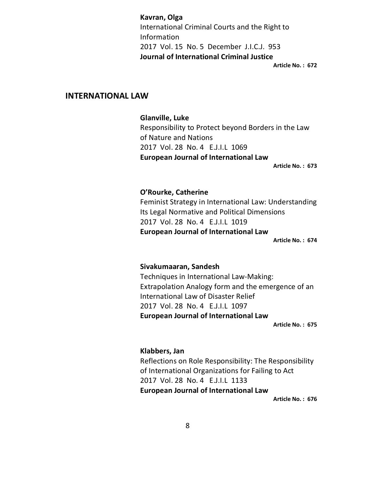**Kavran, Olga**  International Criminal Courts and the Right to Information 2017 Vol. 15 No. 5 December J.I.C.J. 953 **Journal of International Criminal Justice** 

**Article No. : 672** 

#### **INTERNATIONAL LAW**

#### **Glanville, Luke**

Responsibility to Protect beyond Borders in the Law of Nature and Nations 2017 Vol. 28 No. 4 E.J.I.L 1069 **European Journal of International Law** 

**Article No. : 673** 

#### **O'Rourke, Catherine**

Feminist Strategy in International Law: Understanding Its Legal Normative and Political Dimensions 2017 Vol. 28 No. 4 E.J.I.L 1019 **European Journal of International Law** 

**Article No. : 674** 

#### **Sivakumaaran, Sandesh**

Techniques in International Law-Making: Extrapolation Analogy form and the emergence of an International Law of Disaster Relief 2017 Vol. 28 No. 4 E.J.I.L 1097 **European Journal of International Law** 

**Article No. : 675** 

#### **Klabbers, Jan**

Reflections on Role Responsibility: The Responsibility of International Organizations for Failing to Act 2017 Vol. 28 No. 4 E.J.I.L 1133 **European Journal of International Law**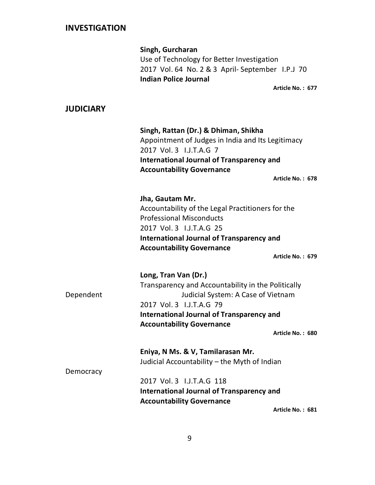|                  | Singh, Gurcharan<br>Use of Technology for Better Investigation<br>2017 Vol. 64 No. 2 & 3 April- September I.P.J 70<br><b>Indian Police Journal</b><br>Article No.: 677                                                                          |
|------------------|-------------------------------------------------------------------------------------------------------------------------------------------------------------------------------------------------------------------------------------------------|
| <b>JUDICIARY</b> |                                                                                                                                                                                                                                                 |
|                  | Singh, Rattan (Dr.) & Dhiman, Shikha<br>Appointment of Judges in India and Its Legitimacy<br>2017 Vol. 3 I.J.T.A.G 7<br><b>International Journal of Transparency and</b><br><b>Accountability Governance</b><br>Article No.: 678                |
|                  | Jha, Gautam Mr.<br>Accountability of the Legal Practitioners for the<br><b>Professional Misconducts</b><br>2017 Vol. 3 I.J.T.A.G 25<br><b>International Journal of Transparency and</b><br><b>Accountability Governance</b><br>Article No.: 679 |
| Dependent        | Long, Tran Van (Dr.)<br>Transparency and Accountability in the Politically<br>Judicial System: A Case of Vietnam<br>2017 Vol. 3 I.J.T.A.G 79<br><b>International Journal of Transparency and</b><br><b>Accountability Governance</b>            |

**Article No. : 680** 

**Eniya, N Ms. & V, Tamilarasan Mr.** Judicial Accountability – the Myth of Indian

Democracy

 2017 Vol. 3 I.J.T.A.G 118 **International Journal of Transparency and Accountability Governance**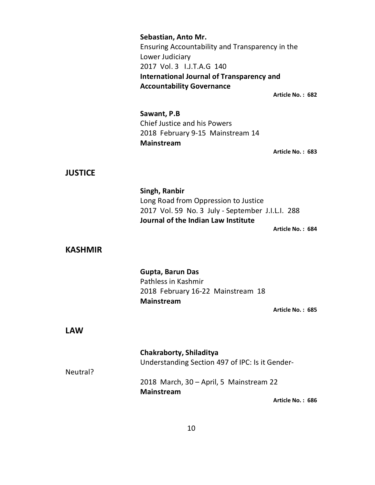|                | Sebastian, Anto Mr.<br>Ensuring Accountability and Transparency in the<br>Lower Judiciary<br>2017 Vol. 3 I.J.T.A.G 140<br><b>International Journal of Transparency and</b><br><b>Accountability Governance</b> | Article No.: 682 |
|----------------|----------------------------------------------------------------------------------------------------------------------------------------------------------------------------------------------------------------|------------------|
|                | Sawant, P.B<br><b>Chief Justice and his Powers</b><br>2018 February 9-15 Mainstream 14<br><b>Mainstream</b>                                                                                                    | Article No.: 683 |
| <b>JUSTICE</b> |                                                                                                                                                                                                                |                  |
| <b>KASHMIR</b> | Singh, Ranbir<br>Long Road from Oppression to Justice<br>2017 Vol. 59 No. 3 July - September J.I.L.I. 288<br>Journal of the Indian Law Institute                                                               | Article No.: 684 |
|                | Gupta, Barun Das<br>Pathless in Kashmir<br>2018 February 16-22 Mainstream 18<br>Mainstream                                                                                                                     | Article No.: 685 |
| <b>LAW</b>     |                                                                                                                                                                                                                |                  |
| Neutral?       | Chakraborty, Shiladitya<br>Understanding Section 497 of IPC: Is it Gender-<br>2018 March, 30 - April, 5 Mainstream 22                                                                                          |                  |
|                | <b>Mainstream</b>                                                                                                                                                                                              | Article No.: 686 |

10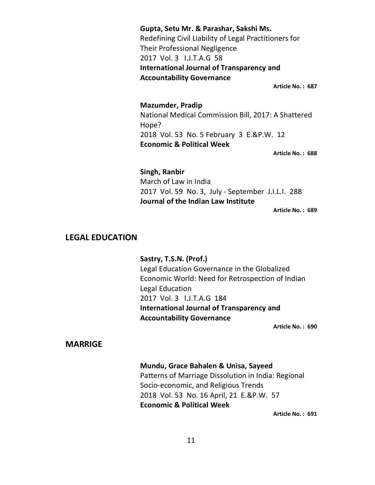**Gupta, Setu Mr. & Parashar, Sakshi Ms.**  Redefining Civil Liability of Legal Practitioners for Their Professional Negligence 2017 Vol. 3 I.J.T.A.G 58 **International Journal of Transparency and Accountability Governance** 

**Article No. : 687** 

**Mazumder, Pradip**  National Medical Commission Bill, 2017: A Shattered Hope? 2018 Vol. 53 No. 5 February 3 E.&P.W. 12 **Economic & Political Week** 

**Article No. : 688** 

**Singh, Ranbir**  March of Law in India 2017 Vol. 59 No. 3, July - September J.I.L.I. 288 **Journal of the Indian Law Institute** 

**Article No. : 689** 

#### **LEGAL EDUCATION**

**Sastry, T.S.N. (Prof.)** 

Legal Education Governance in the Globalized Economic World: Need for Retrospection of Indian Legal Education 2017 Vol. 3 I.J.T.A.G 184 **International Journal of Transparency and Accountability Governance** 

**Article No. : 690** 

#### **MARRIGE**

#### **Mundu, Grace Bahalen & Unisa, Sayeed**

Patterns of Marriage Dissolution in India: Regional Socio-economic, and Religious Trends 2018 Vol. 53 No. 16 April, 21 E.&P.W. 57 **Economic & Political Week**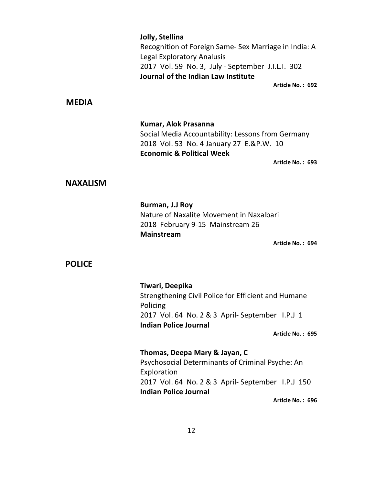|                 | Jolly, Stellina<br>Recognition of Foreign Same- Sex Marriage in India: A<br><b>Legal Exploratory Analusis</b><br>2017 Vol. 59 No. 3, July - September J.I.L.I. 302<br>Journal of the Indian Law Institute |
|-----------------|-----------------------------------------------------------------------------------------------------------------------------------------------------------------------------------------------------------|
| <b>MEDIA</b>    | Article No.: 692                                                                                                                                                                                          |
|                 | Kumar, Alok Prasanna<br>Social Media Accountability: Lessons from Germany<br>2018 Vol. 53 No. 4 January 27 E.&P.W. 10<br><b>Economic &amp; Political Week</b><br>Article No.: 693                         |
| <b>NAXALISM</b> |                                                                                                                                                                                                           |
| <b>POLICE</b>   | Burman, J.J Roy<br>Nature of Naxalite Movement in Naxalbari<br>2018 February 9-15 Mainstream 26<br><b>Mainstream</b><br>Article No.: 694                                                                  |
|                 | Tiwari, Deepika<br>Strengthening Civil Police for Efficient and Humane<br>Policing<br>2017 Vol. 64 No. 2 & 3 April- September I.P.J 1<br><b>Indian Police Journal</b><br>Article No.: 695                 |
|                 | Thomas, Deepa Mary & Jayan, C<br>Psychosocial Determinants of Criminal Psyche: An<br>Exploration<br>2017 Vol. 64 No. 2 & 3 April- September I.P.J 150<br><b>Indian Police Journal</b><br>Article No.: 696 |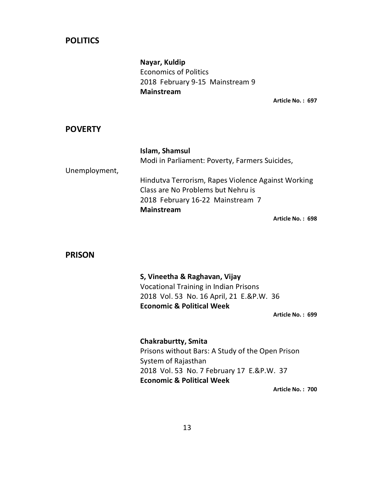### **POLITICS**

**Nayar, Kuldip** Economics of Politics 2018 February 9-15 Mainstream 9  **Mainstream** 

**Article No. : 697** 

#### **POVERTY**

|               | Islam, Shamsul                                     |
|---------------|----------------------------------------------------|
|               | Modi in Parliament: Poverty, Farmers Suicides,     |
| Unemployment, |                                                    |
|               | Hindutva Terrorism, Rapes Violence Against Working |
|               | Class are No Problems but Nehru is                 |
|               | 2018 February 16-22 Mainstream 7                   |
|               | <b>Mainstream</b>                                  |
|               | Article No.: 698                                   |

#### **PRISON**

#### **S, Vineetha & Raghavan, Vijay**

Vocational Training in Indian Prisons 2018 Vol. 53 No. 16 April, 21 E.&P.W. 36 **Economic & Political Week** 

**Article No. : 699** 

### **Chakraburtty, Smita**  Prisons without Bars: A Study of the Open Prison System of Rajasthan 2018 Vol. 53 No. 7 February 17 E.&P.W. 37 **Economic & Political Week**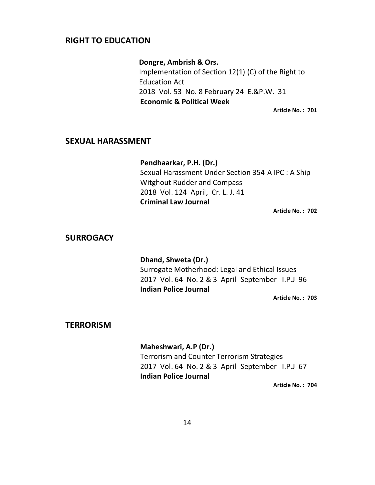#### **RIGHT TO EDUCATION**

#### **Dongre, Ambrish & Ors.**

Implementation of Section 12(1) (C) of the Right to Education Act 2018 Vol. 53 No. 8 February 24 E.&P.W. 31 **Economic & Political Week** 

**Article No. : 701** 

#### **SEXUAL HARASSMENT**

 **Pendhaarkar, P.H. (Dr.)**  Sexual Harassment Under Section 354-A IPC : A Ship Witghout Rudder and Compass 2018 Vol. 124 April, Cr. L. J. 41 **Criminal Law Journal** 

**Article No. : 702** 

#### **SURROGACY**

**Dhand, Shweta (Dr.)**  Surrogate Motherhood: Legal and Ethical Issues 2017 Vol. 64 No. 2 & 3 April- September I.P.J 96 **Indian Police Journal** 

**Article No. : 703** 

#### **TERRORISM**

#### **Maheshwari, A.P (Dr.)**

Terrorism and Counter Terrorism Strategies 2017 Vol. 64 No. 2 & 3 April- September I.P.J 67 **Indian Police Journal**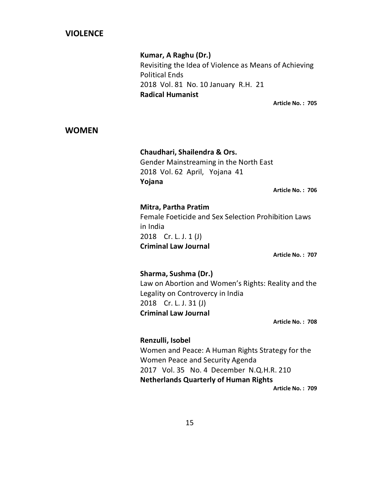#### **VIOLENCE**

#### **Kumar, A Raghu (Dr.)**

Revisiting the Idea of Violence as Means of Achieving Political Ends 2018 Vol. 81 No. 10 January R.H. 21 **Radical Humanist** 

**Article No. : 705** 

#### **WOMEN**

 **Chaudhari, Shailendra & Ors.** Gender Mainstreaming in the North East 2018 Vol. 62 April, Yojana 41 **Yojana** 

**Article No. : 706** 

#### **Mitra, Partha Pratim**

Female Foeticide and Sex Selection Prohibition Laws in India 2018 Cr. L. J. 1 (J) **Criminal Law Journal** 

**Article No. : 707** 

#### **Sharma, Sushma (Dr.)**

Law on Abortion and Women's Rights: Reality and the Legality on Controvercy in India 2018 Cr. L. J. 31 (J) **Criminal Law Journal** 

**Article No. : 708** 

## **Renzulli, Isobel**  Women and Peace: A Human Rights Strategy for the Women Peace and Security Agenda 2017 Vol. 35 No. 4 December N.Q.H.R. 210 **Netherlands Quarterly of Human Rights**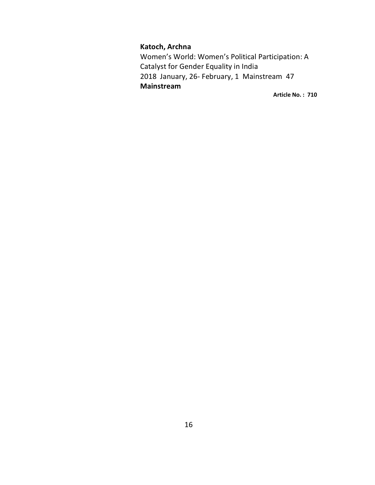#### **Katoch, Archna**

Women's World: Women's Political Participation: A Catalyst for Gender Equality in India 2018 January, 26- February, 1 Mainstream 47  **Mainstream**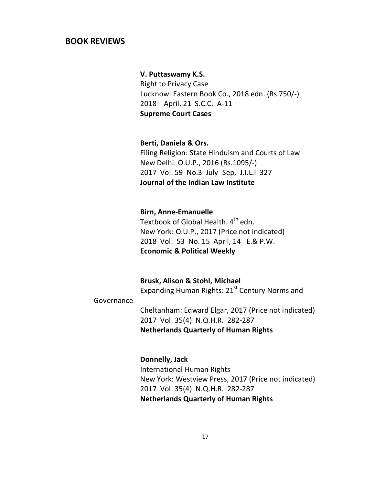#### **BOOK REVIEWS**

#### **V. Puttaswamy K.S.**

Right to Privacy Case Lucknow: Eastern Book Co., 2018 edn. (Rs.750/-) 2018 April, 21 S.C.C. A-11 **Supreme Court Cases** 

**Berti, Daniela & Ors.** 

Filing Religion: State Hinduism and Courts of Law New Delhi: O.U.P., 2016 (Rs.1095/-) 2017 Vol. 59 No.3 July- Sep, J.I.L.I 327 **Journal of the Indian Law Institute** 

#### **Birn, Anne-Emanuelle**

Textbook of Global Health. 4<sup>th</sup> edn. New York: O.U.P., 2017 (Price not indicated) 2018 Vol. 53 No. 15 April, 14 E.& P.W. **Economic & Political Weekly** 

 **Brusk, Alison & Stohl, Michael**  Expanding Human Rights:  $21<sup>st</sup>$  Century Norms and

#### Governance

 Cheltanham: Edward Elgar, 2017 (Price not indicated) 2017 Vol. 35(4) N.Q.H.R. 282-287 **Netherlands Quarterly of Human Rights** 

#### **Donnelly, Jack**

 International Human Rights New York: Westview Press, 2017 (Price not indicated) 2017 Vol. 35(4) N.Q.H.R. 282-287 **Netherlands Quarterly of Human Rights**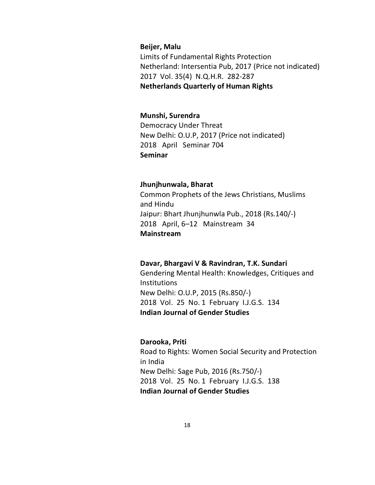#### **Beijer, Malu**

 Limits of Fundamental Rights Protection Netherland: Intersentia Pub, 2017 (Price not indicated) 2017 Vol. 35(4) N.Q.H.R. 282-287 **Netherlands Quarterly of Human Rights** 

#### **Munshi, Surendra**

Democracy Under Threat New Delhi: O.U.P, 2017 (Price not indicated) 2018 April Seminar 704 **Seminar** 

#### **Jhunjhunwala, Bharat**

Common Prophets of the Jews Christians, Muslims and Hindu Jaipur: Bhart Jhunjhunwla Pub., 2018 (Rs.140/-) 2018 April, 6–12 Mainstream 34 **Mainstream** 

#### **Davar, Bhargavi V & Ravindran, T.K. Sundari**

Gendering Mental Health: Knowledges, Critiques and **Institutions** New Delhi: O.U.P, 2015 (Rs.850/-) 2018 Vol. 25 No. 1 February I.J.G.S. 134 **Indian Journal of Gender Studies** 

#### **Darooka, Priti**

Road to Rights: Women Social Security and Protection in India New Delhi: Sage Pub, 2016 (Rs.750/-) 2018 Vol. 25 No. 1 February I.J.G.S. 138 **Indian Journal of Gender Studies**